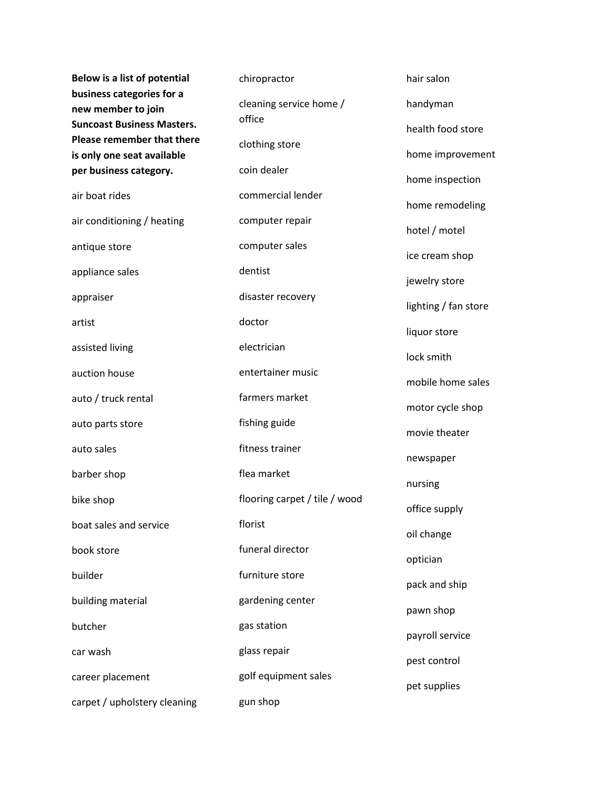| <b>Below is a list of potential</b>                                                                                | chiropractor                  | hair salon           |
|--------------------------------------------------------------------------------------------------------------------|-------------------------------|----------------------|
| business categories for a<br>new member to join<br><b>Suncoast Business Masters.</b><br>Please remember that there | cleaning service home /       | handyman             |
|                                                                                                                    | office                        | health food store    |
| is only one seat available                                                                                         | clothing store                | home improvement     |
| per business category.                                                                                             | coin dealer                   | home inspection      |
| air boat rides                                                                                                     | commercial lender             | home remodeling      |
| air conditioning / heating                                                                                         | computer repair               | hotel / motel        |
| antique store                                                                                                      | computer sales                | ice cream shop       |
| appliance sales                                                                                                    | dentist                       |                      |
| appraiser                                                                                                          | disaster recovery             | jewelry store        |
| artist                                                                                                             | doctor                        | lighting / fan store |
| assisted living                                                                                                    | electrician                   | liquor store         |
| auction house                                                                                                      | entertainer music             | lock smith           |
|                                                                                                                    |                               | mobile home sales    |
| auto / truck rental                                                                                                | farmers market                | motor cycle shop     |
| auto parts store                                                                                                   | fishing guide                 | movie theater        |
| auto sales                                                                                                         | fitness trainer               | newspaper            |
| barber shop                                                                                                        | flea market                   | nursing              |
| bike shop                                                                                                          | flooring carpet / tile / wood | office supply        |
| boat sales and service                                                                                             | florist                       | oil change           |
| book store                                                                                                         | funeral director              | optician             |
| builder                                                                                                            | furniture store               | pack and ship        |
| building material                                                                                                  | gardening center              |                      |
| butcher                                                                                                            | gas station                   | pawn shop            |
| car wash                                                                                                           | glass repair                  | payroll service      |
| career placement                                                                                                   | golf equipment sales          | pest control         |
| carpet / upholstery cleaning                                                                                       | gun shop                      | pet supplies         |
|                                                                                                                    |                               |                      |